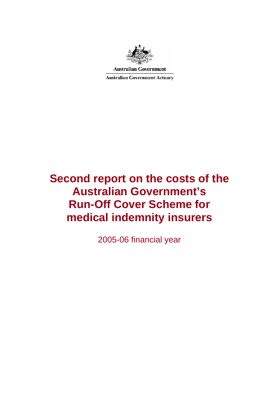

**Australian Government** 

**Australian Government Actuary** 

# **Second report on the costs of the Australian Government's Run-Off Cover Scheme for medical indemnity insurers**

2005-06 financial year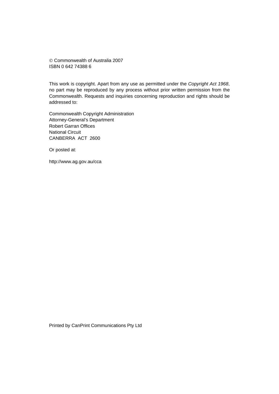© Commonwealth of Australia 2007 ISBN 0 642 74388 6

This work is copyright. Apart from any use as permitted under the *Copyright Act 1968*, no part may be reproduced by any process without prior written permission from the Commonwealth. Requests and inquiries concerning reproduction and rights should be addressed to:

Commonwealth Copyright Administration Attorney-General's Department Robert Garran Offices National Circuit CANBERRA ACT 2600

Or posted at:

http://www.ag.gov.au/cca

Printed by CanPrint Communications Pty Ltd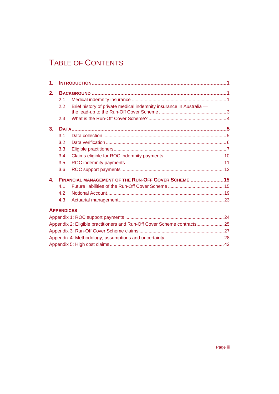## TABLE OF CONTENTS

| 1.             |                   |                                                                          |  |  |  |
|----------------|-------------------|--------------------------------------------------------------------------|--|--|--|
| 2.             |                   |                                                                          |  |  |  |
|                | 2.1               |                                                                          |  |  |  |
|                | 2.2               | Brief history of private medical indemnity insurance in Australia -      |  |  |  |
|                | 2.3               |                                                                          |  |  |  |
| 3 <sub>1</sub> |                   |                                                                          |  |  |  |
|                | 3.1               |                                                                          |  |  |  |
|                | 3.2               |                                                                          |  |  |  |
|                | 3.3               |                                                                          |  |  |  |
|                | 3.4               |                                                                          |  |  |  |
|                | 3.5               |                                                                          |  |  |  |
|                | 3.6               |                                                                          |  |  |  |
| $\mathbf{4}$   |                   | FINANCIAL MANAGEMENT OF THE RUN-OFF COVER SCHEME 15                      |  |  |  |
|                | 4.1               |                                                                          |  |  |  |
|                | 42                |                                                                          |  |  |  |
|                | 4.3               |                                                                          |  |  |  |
|                | <b>APPENDICES</b> |                                                                          |  |  |  |
|                |                   |                                                                          |  |  |  |
|                |                   | Appendix 2: Eligible practitioners and Run-Off Cover Scheme contracts 25 |  |  |  |
|                |                   |                                                                          |  |  |  |
|                |                   |                                                                          |  |  |  |
|                |                   |                                                                          |  |  |  |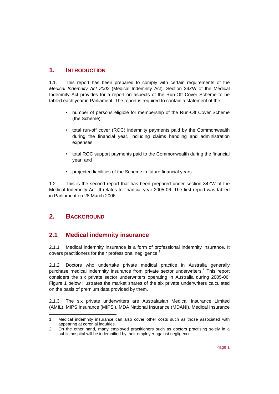## **1. INTRODUCTION**

1.1. This report has been prepared to comply with certain requirements of the *Medical Indemnity Act 2002* (Medical Indemnity Act). Section 34ZW of the Medical Indemnity Act provides for a report on aspects of the Run-Off Cover Scheme to be tabled each year in Parliament. The report is required to contain a statement of the:

- number of persons eligible for membership of the Run-Off Cover Scheme (the Scheme);
- total run-off cover (ROC) indemnity payments paid by the Commonwealth during the financial year, including claims handling and administration expenses;
- total ROC support payments paid to the Commonwealth during the financial year; and
- projected liabilities of the Scheme in future financial years.

1.2. This is the second report that has been prepared under section 34ZW of the Medical Indemnity Act. It relates to financial year 2005-06. The first report was tabled in Parliament on 28 March 2006.

## **2. BACKGROUND**

## **2.1 Medical indemnity insurance**

2.1.1 Medical indemnity insurance is a form of professional indemnity insurance. It covers practitioners for their professional negligence.<sup>1</sup>

2.1.2 Doctors who undertake private medical practice in Australia generally purchase medical indemnity insurance from private sector underwriters.<sup>2</sup> This report considers the six private sector underwriters operating in Australia during 2005-06. Figure 1 below illustrates the market shares of the six private underwriters calculated on the basis of premium data provided by them.

2.1.3 The six private underwriters are Australasian Medical Insurance Limited (AMIL), MIPS Insurance (MIPSi), MDA National Insurance (MDANI), Medical Insurance

l 1 Medical indemnity insurance can also cover other costs such as those associated with appearing at coronial inquiries.

<sup>2</sup> On the other hand, many employed practitioners such as doctors practising solely in a public hospital will be indemnified by their employer against negligence.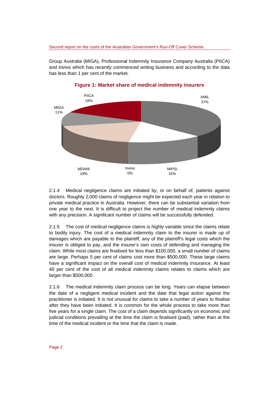Group Australia (MIGA), Professional Indemnity Insurance Company Australia (PIICA) and Invivo which has recently commenced writing business and according to the data has less than 1 per cent of the market.



#### **Figure 1: Market share of medical indemnity insurers**

2.1.4 Medical negligence claims are initiated by, or on behalf of, patients against doctors. Roughly 2,000 claims of negligence might be expected each year in relation to private medical practice in Australia. However, there can be substantial variation from one year to the next. It is difficult to project the number of medical indemnity claims with any precision. A significant number of claims will be successfully defended.

2.1.5 The cost of medical negligence claims is highly variable since the claims relate to bodily injury. The cost of a medical indemnity claim to the insurer is made up of damages which are payable to the plaintiff*,* any of the plaintiff's legal costs which the insurer is obliged to pay, and the insurer's own costs of defending and managing the claim*.* While most claims are finalised for less than \$100,000, a small number of claims are large. Perhaps 5 per cent of claims cost more than \$500,000. These large claims have a significant impact on the overall cost of medical indemnity insurance. At least 40 per cent of the cost of all medical indemnity claims relates to claims which are larger than \$500,000.

2.1.6 The medical indemnity claim process can be long. Years can elapse between the date of a negligent medical incident and the date that legal action against the practitioner is initiated. It is not unusual for claims to take a number of years to finalise after they have been initiated. It is common for the whole process to take more than five years for a single claim. The cost of a claim depends significantly on economic and judicial conditions prevailing at the time the claim is finalised (paid), rather than at the time of the medical incident or the time that the claim is made.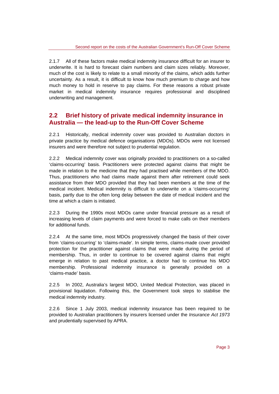2.1.7 All of these factors make medical indemnity insurance difficult for an insurer to underwrite. It is hard to forecast claim numbers and claim sizes reliably. Moreover, much of the cost is likely to relate to a small minority of the claims, which adds further uncertainty. As a result, it is difficult to know how much premium to charge and how much money to hold in reserve to pay claims. For these reasons a robust private market in medical indemnity insurance requires professional and disciplined underwriting and management.

## **2.2 Brief history of private medical indemnity insurance in Australia — the lead-up to the Run-Off Cover Scheme**

2.2.1 Historically, medical indemnity cover was provided to Australian doctors in private practice by medical defence organisations (MDOs). MDOs were not licensed insurers and were therefore not subject to prudential regulation.

2.2.2 Medical indemnity cover was originally provided to practitioners on a so-called 'claims-occurring' basis. Practitioners were protected against claims that might be made in relation to the medicine that they had practised while members of the MDO. Thus, practitioners who had claims made against them after retirement could seek assistance from their MDO provided that they had been members at the time of the medical incident. Medical indemnity is difficult to underwrite on a 'claims-occurring' basis, partly due to the often long delay between the date of medical incident and the time at which a claim is initiated.

2.2.3 During the 1990s most MDOs came under financial pressure as a result of increasing levels of claim payments and were forced to make calls on their members for additional funds.

2.2.4 At the same time, most MDOs progressively changed the basis of their cover from 'claims-occurring' to 'claims-made'. In simple terms, claims-made cover provided protection for the practitioner against claims that were made during the period of membership. Thus, in order to continue to be covered against claims that might emerge in relation to past medical practice, a doctor had to continue his MDO membership. Professional indemnity insurance is generally provided on a 'claims-made' basis.

2.2.5 In 2002, Australia's largest MDO, United Medical Protection, was placed in provisional liquidation. Following this, the Government took steps to stabilise the medical indemnity industry.

2.2.6 Since 1 July 2003, medical indemnity insurance has been required to be provided to Australian practitioners by insurers licensed under the *Insurance Act 1973* and prudentially supervised by APRA.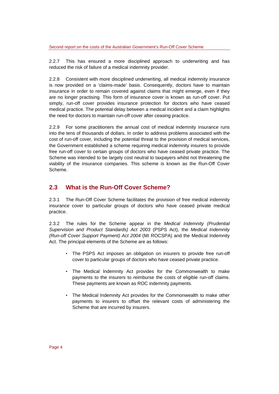2.2.7 This has ensured a more disciplined approach to underwriting and has reduced the risk of failure of a medical indemnity provider.

2.2.8 Consistent with more disciplined underwriting, all medical indemnity insurance is now provided on a 'claims-made' basis. Consequently, doctors have to maintain insurance in order to remain covered against claims that might emerge, even if they are no longer practising*.* This form of insurance cover is known as run-off cover. Put simply, run-off cover provides insurance protection for doctors who have ceased medical practice. The potential delay between a medical incident and a claim highlights the need for doctors to maintain run-off cover after ceasing practice.

2.2.9 For some practitioners the annual cost of medical indemnity insurance runs into the tens of thousands of dollars. In order to address problems associated with the cost of run-off cover, including the potential threat to the provision of medical services, the Government established a scheme requiring medical indemnity insurers to provide free run-off cover to certain groups of doctors who have ceased private practice. The Scheme was intended to be largely cost neutral to taxpayers whilst not threatening the viability of the insurance companies. This scheme is known as the Run-Off Cover Scheme.

## **2.3 What is the Run-Off Cover Scheme?**

2.3.1 The Run-Off Cover Scheme facilitates the provision of free medical indemnity insurance cover to particular groups of doctors who have ceased private medical practice.

2.3.2 The rules for the Scheme appear in the *Medical Indemnity (Prudential Supervision and Product Standards) Act 2003* (PSPS Act), the *Medical Indemnity (Run-off Cover Support Payment) Act 2004* (MI ROCSPA) and the Medical Indemnity Act. The principal elements of the Scheme are as follows:

- The PSPS Act imposes an obligation on insurers to provide free run-off cover to particular groups of doctors who have ceased private practice.
- The Medical Indemnity Act provides for the Commonwealth to make payments to the insurers to reimburse the costs of eligible run-off claims. These payments are known as ROC indemnity payments.
- The Medical Indemnity Act provides for the Commonwealth to make other payments to insurers to offset the relevant costs of administering the Scheme that are incurred by insurers.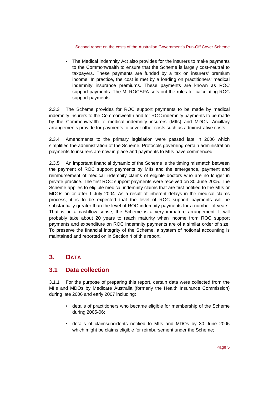• The Medical Indemnity Act also provides for the insurers to make payments to the Commonwealth to ensure that the Scheme is largely cost-neutral to taxpayers. These payments are funded by a tax on insurers' premium income. In practice, the cost is met by a loading on practitioners' medical indemnity insurance premiums. These payments are known as ROC support payments. The MI ROCSPA sets out the rules for calculating ROC support payments.

2.3.3 The Scheme provides for ROC support payments to be made by medical indemnity insurers to the Commonwealth and for ROC indemnity payments to be made by the Commonwealth to medical indemnity insurers (MIIs) and MDOs. Ancillary arrangements provide for payments to cover other costs such as administrative costs.

2.3.4 Amendments to the primary legislation were passed late in 2006 which simplified the administration of the Scheme. Protocols governing certain administration payments to insurers are now in place and payments to MIIs have commenced.

2.3.5 An important financial dynamic of the Scheme is the timing mismatch between the payment of ROC support payments by MIIs and the emergence, payment and reimbursement of medical indemnity claims of eligible doctors who are no longer in private practice. The first ROC support payments were received on 30 June 2005. The Scheme applies to eligible medical indemnity claims that are first notified to the MIIs or MDOs on or after 1 July 2004. As a result of inherent delays in the medical claims process, it is to be expected that the level of ROC support payments will be substantially greater than the level of ROC indemnity payments for a number of years. That is, in a cashflow sense, the Scheme is a very immature arrangement. It will probably take about 20 years to reach maturity when income from ROC support payments and expenditure on ROC indemnity payments are of a similar order of size. To preserve the financial integrity of the Scheme, a system of notional accounting is maintained and reported on in Section 4 of this report.

## **3. DATA**

## **3.1 Data collection**

3.1.1 For the purpose of preparing this report, certain data were collected from the MIIs and MDOs by Medicare Australia (formerly the Health Insurance Commission) during late 2006 and early 2007 including:

- details of practitioners who became eligible for membership of the Scheme during 2005-06;
- details of claims/incidents notified to MIIs and MDOs by 30 June 2006 which might be claims eligible for reimbursement under the Scheme;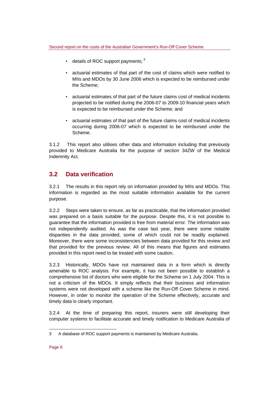- $\cdot$  details of ROC support payments;<sup>3</sup>
- actuarial estimates of that part of the cost of claims which were notified to MIIs and MDOs by 30 June 2006 which is expected to be reimbursed under the Scheme;
- actuarial estimates of that part of the future claims cost of medical incidents projected to be notified during the 2006-07 to 2009-10 financial years which is expected to be reimbursed under the Scheme; and
- actuarial estimates of that part of the future claims cost of medical incidents occurring during 2006-07 which is expected to be reimbursed under the Scheme.

3.1.2 This report also utilises other data and information including that previously provided to Medicare Australia for the purpose of section 34ZW of the Medical Indemnity Act.

## **3.2 Data verification**

3.2.1 The results in this report rely on information provided by MIIs and MDOs. This information is regarded as the most suitable information available for the current purpose.

3.2.2 Steps were taken to ensure, as far as practicable, that the information provided was prepared on a basis suitable for the purpose. Despite this, it is not possible to guarantee that the information provided is free from material error. The information was not independently audited. As was the case last year, there were some notable disparities in the data provided, some of which could not be readily explained. Moreover, there were some inconsistencies between data provided for this review and that provided for the previous review. All of this means that figures and estimates provided in this report need to be treated with some caution.

3.2.3 Historically, MDOs have not maintained data in a form which is directly amenable to ROC analysis. For example, it has not been possible to establish a comprehensive list of doctors who were eligible for the Scheme on 1 July 2004. This is not a criticism of the MDOs. It simply reflects that their business and information systems were not developed with a scheme like the Run-Off Cover Scheme in mind. However, in order to monitor the operation of the Scheme effectively, accurate and timely data is clearly important.

3.2.4 At the time of preparing this report, insurers were still developing their computer systems to facilitate accurate and timely notification to Medicare Australia of

l

<sup>3</sup> A database of ROC support payments is maintained by Medicare Australia.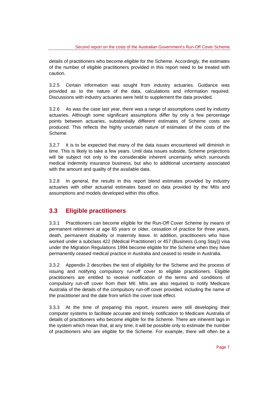details of practitioners who become eligible for the Scheme. Accordingly, the estimates of the number of eligible practitioners provided in this report need to be treated with caution.

3.2.5 Certain information was sought from industry actuaries. Guidance was provided as to the nature of the data, calculations and information required. Discussions with industry actuaries were held to supplement the data provided.

3.2.6 As was the case last year, there was a range of assumptions used by industry actuaries. Although some significant assumptions differ by only a few percentage points between actuaries, substantially different estimates of Scheme costs are produced. This reflects the highly uncertain nature of estimates of the costs of the Scheme.

3.2.7 It is to be expected that many of the data issues encountered will diminish in time. This is likely to take a few years. Until data issues subside, Scheme projections will be subject not only to the considerable inherent uncertainty which surrounds medical indemnity insurance business, but also to additional uncertainty associated with the amount and quality of the available data.

3.2.8 In general, the results in this report blend estimates provided by industry actuaries with other actuarial estimates based on data provided by the MIIs and assumptions and models developed within this office.

## **3.3 Eligible practitioners**

3.3.1 Practitioners can become eligible for the Run-Off Cover Scheme by means of permanent retirement at age 65 years or older, cessation of practice for three years, death, permanent disability or maternity leave. In addition, practitioners who have worked under a subclass 422 (Medical Practitioner) or 457 (Business (Long Stay)) visa under the Migration Regulations 1994 become eligible for the Scheme when they have permanently ceased medical practice in Australia and ceased to reside in Australia.

3.3.2 Appendix 2 describes the test of eligibility for the Scheme and the process of issuing and notifying compulsory run-off cover to eligible practitioners. Eligible practitioners are entitled to receive notification of the terms and conditions of compulsory run-off cover from their MII. MIIs are also required to notify Medicare Australia of the details of the compulsory run-off cover provided, including the name of the practitioner and the date from which the cover took effect.

3.3.3 At the time of preparing this report, insurers were still developing their computer systems to facilitate accurate and timely notification to Medicare Australia of details of practitioners who become eligible for the Scheme. There are inherent lags in the system which mean that, at any time, it will be possible only to estimate the number of practitioners who are eligible for the Scheme. For example, there will often be a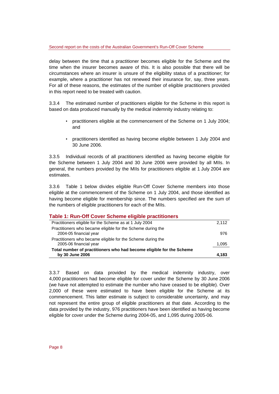delay between the time that a practitioner becomes eligible for the Scheme and the time when the insurer becomes aware of this. It is also possible that there will be circumstances where an insurer is unsure of the eligibility status of a practitioner; for example, where a practitioner has not renewed their insurance for, say, three years. For all of these reasons, the estimates of the number of eligible practitioners provided in this report need to be treated with caution.

3.3.4 The estimated number of practitioners eligible for the Scheme in this report is based on data produced manually by the medical indemnity industry relating to:

- practitioners eligible at the commencement of the Scheme on 1 July 2004; and
- practitioners identified as having become eligible between 1 July 2004 and 30 June 2006.

3.3.5 Individual records of all practitioners identified as having become eligible for the Scheme between 1 July 2004 and 30 June 2006 were provided by all MIIs. In general, the numbers provided by the MIIs for practitioners eligible at 1 July 2004 are estimates.

3.3.6 Table 1 below divides eligible Run-Off Cover Scheme members into those eligible at the commencement of the Scheme on 1 July 2004, and those identified as having become eligible for membership since. The numbers specified are the sum of the numbers of eligible practitioners for each of the MIIs.

| Table 1: Run-Off Cover Scheme eligible practitioners                                    |       |
|-----------------------------------------------------------------------------------------|-------|
| Practitioners eligible for the Scheme as at 1 July 2004                                 | 2,112 |
| Practitioners who became eligible for the Scheme during the<br>2004-05 financial year   | 976   |
| Practitioners who became eligible for the Scheme during the<br>2005-06 financial year   | 1,095 |
| Total number of practitioners who had become eligible for the Scheme<br>by 30 June 2006 | 4.183 |

3.3.7 Based on data provided by the medical indemnity industry, over 4,000 practitioners had become eligible for cover under the Scheme by 30 June 2006 (we have not attempted to estimate the number who have ceased to be eligible). Over 2,000 of these were estimated to have been eligible for the Scheme at its commencement. This latter estimate is subject to considerable uncertainty, and may not represent the entire group of eligible practitioners at that date. According to the data provided by the industry, 976 practitioners have been identified as having become eligible for cover under the Scheme during 2004-05, and 1,095 during 2005-06.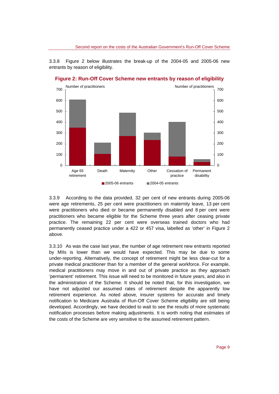3.3.8 Figure 2 below illustrates the break-up of the 2004-05 and 2005-06 new entrants by reason of eligibility.





3.3.9 According to the data provided, 32 per cent of new entrants during 2005-06 were age retirements, 25 per cent were practitioners on maternity leave, 13 per cent were practitioners who died or became permanently disabled and 8 per cent were practitioners who became eligible for the Scheme three years after ceasing private practice. The remaining 22 per cent were overseas trained doctors who had permanently ceased practice under a 422 or 457 visa, labelled as 'other' in Figure 2 above.

3.3.10 As was the case last year, the number of age retirement new entrants reported by MIIs is lower than we would have expected. This may be due to some under-reporting. Alternatively, the concept of retirement might be less clear-cut for a private medical practitioner than for a member of the general workforce. For example, medical practitioners may move in and out of private practice as they approach 'permanent' retirement. This issue will need to be monitored in future years, and also in the administration of the Scheme. It should be noted that, for this investigation, we have not adjusted our assumed rates of retirement despite the apparently low retirement experience. As noted above, insurer systems for accurate and timely notification to Medicare Australia of Run-Off Cover Scheme eligibility are still being developed. Accordingly, we have decided to wait to see the results of more systematic notification processes before making adjustments. It is worth noting that estimates of the costs of the Scheme are very sensitive to the assumed retirement pattern.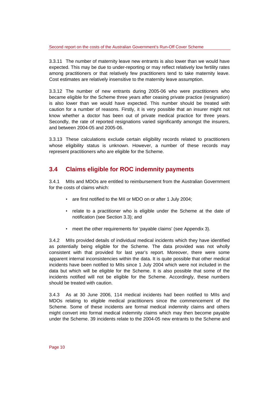3.3.11 The number of maternity leave new entrants is also lower than we would have expected. This may be due to under-reporting or may reflect relatively low fertility rates among practitioners or that relatively few practitioners tend to take maternity leave. Cost estimates are relatively insensitive to the maternity leave assumption.

3.3.12 The number of new entrants during 2005-06 who were practitioners who became eligible for the Scheme three years after ceasing private practice (resignation) is also lower than we would have expected. This number should be treated with caution for a number of reasons. Firstly, it is very possible that an insurer might not know whether a doctor has been out of private medical practice for three years. Secondly, the rate of reported resignations varied significantly amongst the insurers, and between 2004-05 and 2005-06.

3.3.13 These calculations exclude certain eligibility records related to practitioners whose eligibility status is unknown. However, a number of these records may represent practitioners who are eligible for the Scheme.

## **3.4 Claims eligible for ROC indemnity payments**

3.4.1 MIIs and MDOs are entitled to reimbursement from the Australian Government for the costs of claims which:

- are first notified to the MII or MDO on or after 1 July 2004;
- relate to a practitioner who is eligible under the Scheme at the date of notification (see Section 3.3); and
- meet the other requirements for 'payable claims' (see Appendix 3).

3.4.2 MIIs provided details of individual medical incidents which they have identified as potentially being eligible for the Scheme. The data provided was not wholly consistent with that provided for last year's report. Moreover, there were some apparent internal inconsistencies within the data. It is quite possible that other medical incidents have been notified to MIIs since 1 July 2004 which were not included in the data but which will be eligible for the Scheme. It is also possible that some of the incidents notified will not be eligible for the Scheme. Accordingly, these numbers should be treated with caution.

3.4.3 As at 30 June 2006, 114 medical incidents had been notified to MIIs and MDOs relating to eligible medical practitioners since the commencement of the Scheme. Some of these incidents are formal medical indemnity claims and others might convert into formal medical indemnity claims which may then become payable under the Scheme. 39 incidents relate to the 2004-05 new entrants to the Scheme and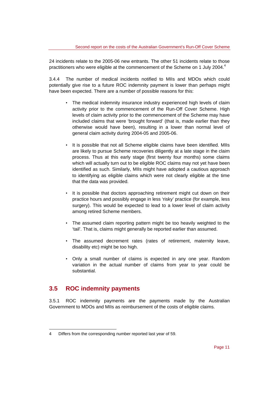24 incidents relate to the 2005-06 new entrants. The other 51 incidents relate to those practitioners who were eligible at the commencement of the Scheme on 1 July 2004. $4$ 

3.4.4 The number of medical incidents notified to MIIs and MDOs which could potentially give rise to a future ROC indemnity payment is lower than perhaps might have been expected. There are a number of possible reasons for this:

- The medical indemnity insurance industry experienced high levels of claim activity prior to the commencement of the Run-Off Cover Scheme. High levels of claim activity prior to the commencement of the Scheme may have included claims that were 'brought forward' (that is, made earlier than they otherwise would have been), resulting in a lower than normal level of general claim activity during 2004-05 and 2005-06.
- It is possible that not all Scheme eligible claims have been identified. MIIs are likely to pursue Scheme recoveries diligently at a late stage in the claim process. Thus at this early stage (first twenty four months) some claims which will actually turn out to be eligible ROC claims may not yet have been identified as such. Similarly, MIIs might have adopted a cautious approach to identifying as eligible claims which were not clearly eligible at the time that the data was provided.
- It is possible that doctors approaching retirement might cut down on their practice hours and possibly engage in less 'risky' practice (for example, less surgery). This would be expected to lead to a lower level of claim activity among retired Scheme members.
- The assumed claim reporting pattern might be too heavily weighted to the 'tail'. That is, claims might generally be reported earlier than assumed.
- The assumed decrement rates (rates of retirement, maternity leave, disability etc) might be too high.
- Only a small number of claims is expected in any one year. Random variation in the actual number of claims from year to year could be substantial.

### **3.5 ROC indemnity payments**

l

3.5.1 ROC indemnity payments are the payments made by the Australian Government to MDOs and MIIs as reimbursement of the costs of eligible claims.

<sup>4</sup> Differs from the corresponding number reported last year of 59.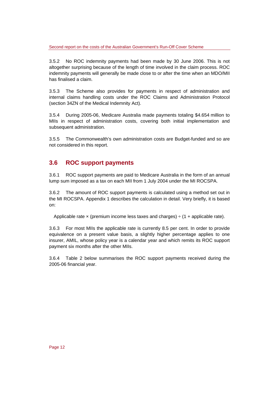3.5.2 No ROC indemnity payments had been made by 30 June 2006. This is not altogether surprising because of the length of time involved in the claim process. ROC indemnity payments will generally be made close to or after the time when an MDO/MII has finalised a claim.

3.5.3 The Scheme also provides for payments in respect of administration and internal claims handling costs under the ROC Claims and Administration Protocol (section 34ZN of the Medical Indemnity Act).

3.5.4 During 2005-06, Medicare Australia made payments totaling \$4.654 million to MIIs in respect of administration costs, covering both initial implementation and subsequent administration.

3.5.5 The Commonwealth's own administration costs are Budget-funded and so are not considered in this report.

## **3.6 ROC support payments**

3.6.1 ROC support payments are paid to Medicare Australia in the form of an annual lump sum imposed as a tax on each MII from 1 July 2004 under the MI ROCSPA.

3.6.2 The amount of ROC support payments is calculated using a method set out in the MI ROCSPA. Appendix 1 describes the calculation in detail. Very briefly, it is based on:

Applicable rate  $\times$  (premium income less taxes and charges)  $\div$  (1 + applicable rate).

3.6.3 For most MIIs the applicable rate is currently 8.5 per cent. In order to provide equivalence on a present value basis, a slightly higher percentage applies to one insurer, AMIL, whose policy year is a calendar year and which remits its ROC support payment six months after the other MIIs.

3.6.4 Table 2 below summarises the ROC support payments received during the 2005-06 financial year.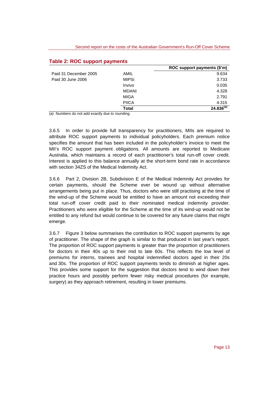#### **Table 2: ROC support payments**

|                       |              | ROC support payments (\$'m) |
|-----------------------|--------------|-----------------------------|
| Paid 31 December 2005 | <b>AMIL</b>  | 9.634                       |
| Paid 30 June 2006     | <b>MIPSi</b> | 3.733                       |
|                       | Invivo       | 0.035                       |
|                       | MDANI        | 4.328                       |
|                       | <b>MIGA</b>  | 2.791                       |
|                       | <b>PIICA</b> | 4.315                       |
|                       | <b>Total</b> | $24.836^{(a)}$              |

(a) Numbers do not add exactly due to rounding.

3.6.5 In order to provide full transparency for practitioners, MIIs are required to attribute ROC support payments to individual policyholders. Each premium notice specifies the amount that has been included in the policyholder's invoice to meet the MII's ROC support payment obligations. All amounts are reported to Medicare Australia, which maintains a record of each practitioner's total run-off cover credit. Interest is applied to this balance annually at the short-term bond rate in accordance with section 34ZS of the Medical Indemnity Act.

3.6.6 Part 2, Division 2B, Subdivision E of the Medical Indemnity Act provides for certain payments, should the Scheme ever be wound up without alternative arrangements being put in place. Thus, doctors who were still practising at the time of the wind-up of the Scheme would be entitled to have an amount not exceeding their total run-off cover credit paid to their nominated medical indemnity provider. Practitioners who were eligible for the Scheme at the time of its wind-up would not be entitled to any refund but would continue to be covered for any future claims that might emerge.

3.6.7 Figure 3 below summarises the contribution to ROC support payments by age of practitioner. The shape of the graph is similar to that produced in last year's report. The proportion of ROC support payments is greater than the proportion of practitioners for doctors in their 40s up to their mid to late 60s. This reflects the low level of premiums for interns, trainees and hospital indemnified doctors aged in their 20s and 30s. The proportion of ROC support payments tends to diminish at higher ages. This provides some support for the suggestion that doctors tend to wind down their practice hours and possibly perform fewer risky medical procedures (for example, surgery) as they approach retirement, resulting in lower premiums.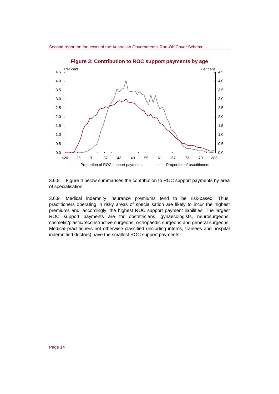

**Figure 3: Contribution to ROC support payments by age** 

3.6.8 Figure 4 below summarises the contribution to ROC support payments by area of specialisation.

3.6.9 Medical indemnity insurance premiums tend to be risk-based. Thus, practitioners operating in risky areas of specialisation are likely to incur the highest premiums and, accordingly, the highest ROC support payment liabilities. The largest ROC support payments are for obstetricians, gynaecologists, neurosurgeons, cosmetic/plastic/reconstructive surgeons, orthopaedic surgeons and general surgeons. Medical practitioners not otherwise classified (including interns, trainees and hospital indemnified doctors) have the smallest ROC support payments.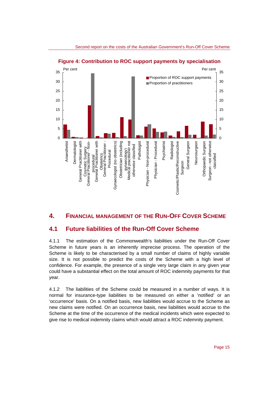

**Figure 4: Contribution to ROC support payments by specialisation** 

### **4. FINANCIAL MANAGEMENT OF THE RUN-OFF COVER SCHEME**

## **4.1 Future liabilities of the Run-Off Cover Scheme**

4.1.1 The estimation of the Commonwealth's liabilities under the Run-Off Cover Scheme in future years is an inherently imprecise process. The operation of the Scheme is likely to be characterised by a small number of claims of highly variable size. It is not possible to predict the costs of the Scheme with a high level of confidence. For example, the presence of a single very large claim in any given year could have a substantial effect on the total amount of ROC indemnity payments for that year.

4.1.2 The liabilities of the Scheme could be measured in a number of ways. It is normal for insurance-type liabilities to be measured on either a 'notified' or an 'occurrence' basis. On a notified basis, new liabilities would accrue to the Scheme as new claims were notified. On an occurrence basis, new liabilities would accrue to the Scheme at the time of the occurrence of the medical incidents which were expected to give rise to medical indemnity claims which would attract a ROC indemnity payment.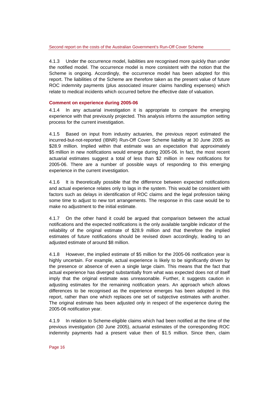4.1.3 Under the occurrence model, liabilities are recognised more quickly than under the notified model. The occurrence model is more consistent with the notion that the Scheme is ongoing. Accordingly, the occurrence model has been adopted for this report. The liabilities of the Scheme are therefore taken as the present value of future ROC indemnity payments (plus associated insurer claims handling expenses) which relate to medical incidents which occurred before the effective date of valuation.

#### **Comment on experience during 2005-06**

4.1.4 In any actuarial investigation it is appropriate to compare the emerging experience with that previously projected. This analysis informs the assumption setting process for the current investigation.

4.1.5 Based on input from industry actuaries, the previous report estimated the incurred-but-not-reported (IBNR) Run-Off Cover Scheme liability at 30 June 2005 as \$28.9 million. Implied within that estimate was an expectation that approximately \$5 million in new notifications would emerge during 2005-06. In fact, the most recent actuarial estimates suggest a total of less than \$2 million in new notifications for 2005-06. There are a number of possible ways of responding to this emerging experience in the current investigation.

4.1.6 It is theoretically possible that the difference between expected notifications and actual experience relates only to lags in the system. This would be consistent with factors such as delays in identification of ROC claims and the legal profession taking some time to adjust to new tort arrangements. The response in this case would be to make no adjustment to the initial estimate.

4.1.7 On the other hand it could be argued that comparison between the actual notifications and the expected notifications is the only available tangible indicator of the reliability of the original estimate of \$28.9 million and that therefore the implied estimates of future notifications should be revised down accordingly, leading to an adjusted estimate of around \$8 million.

4.1.8 However, the implied estimate of \$5 million for the 2005-06 notification year is highly uncertain. For example, actual experience is likely to be significantly driven by the presence or absence of even a single large claim. This means that the fact that actual experience has diverged substantially from what was expected does not of itself imply that the original estimate was unreasonable. Further, it suggests caution in adjusting estimates for the remaining notification years. An approach which allows differences to be recognised as the experience emerges has been adopted in this report, rather than one which replaces one set of subjective estimates with another. The original estimate has been adjusted only in respect of the experience during the 2005-06 notification year.

4.1.9 In relation to Scheme-eligible claims which had been notified at the time of the previous investigation (30 June 2005), actuarial estimates of the corresponding ROC indemnity payments had a present value then of \$1.5 million. Since then, claim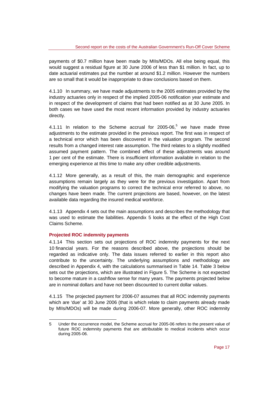payments of \$0.7 million have been made by MIIs/MDOs. All else being equal, this would suggest a residual figure at 30 June 2006 of less than \$1 million. In fact, up to date actuarial estimates put the number at around \$1.2 million. However the numbers are so small that it would be inappropriate to draw conclusions based on them.

4.1.10 In summary, we have made adjustments to the 2005 estimates provided by the industry actuaries only in respect of the implied 2005-06 notification year estimate and in respect of the development of claims that had been notified as at 30 June 2005. In both cases we have used the most recent information provided by industry actuaries directly.

4.1.11 In relation to the Scheme accrual for  $2005-06$ , we have made three adjustments to the estimate provided in the previous report. The first was in respect of a technical error which has been discovered in the valuation program. The second results from a changed interest rate assumption. The third relates to a slightly modified assumed payment pattern. The combined effect of these adjustments was around 1 per cent of the estimate. There is insufficient information available in relation to the emerging experience at this time to make any other credible adjustments.

4.1.12 More generally, as a result of this, the main demographic and experience assumptions remain largely as they were for the previous investigation. Apart from modifying the valuation programs to correct the technical error referred to above, no changes have been made. The current projections are based, however, on the latest available data regarding the insured medical workforce.

4.1.13 Appendix 4 sets out the main assumptions and describes the methodology that was used to estimate the liabilities. Appendix 5 looks at the effect of the High Cost Claims Scheme.

#### **Projected ROC indemnity payments**

4.1.14 This section sets out projections of ROC indemnity payments for the next 10 financial years. For the reasons described above, the projections should be regarded as indicative only. The data issues referred to earlier in this report also contribute to the uncertainty. The underlying assumptions and methodology are described in Appendix 4, with the calculations summarised in Table 14. Table 3 below sets out the projections, which are illustrated in Figure 5. The Scheme is not expected to become mature in a cashflow sense for many years. The payments projected below are in nominal dollars and have not been discounted to current dollar values.

4.1.15 The projected payment for 2006-07 assumes that all ROC indemnity payments which are 'due' at 30 June 2006 (that is which relate to claim payments already made by MIIs/MDOs) will be made during 2006-07. More generally, other ROC indemnity

l 5 Under the occurrence model, the Scheme accrual for 2005-06 refers to the present value of future ROC indemnity payments that are attributable to medical incidents which occur during 2005-06.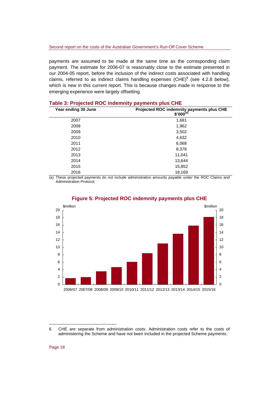payments are assumed to be made at the same time as the corresponding claim payment. The estimate for 2006-07 is reasonably close to the estimate presented in our 2004-05 report, before the inclusion of the indirect costs associated with handling claims, referred to as indirect claims handling expenses (CHE) $^6$  (see 4.2.8 below), which is new in this current report. This is because changes made in response to the emerging experience were largely offsetting.

| Year ending 30 June | Projected ROC indemnity payments plus CHE<br>$$'000^{(a)}$ |
|---------------------|------------------------------------------------------------|
| 2007                | 1,681                                                      |
| 2008                | 1,962                                                      |
| 2009                | 3,502                                                      |
| 2010                | 4,632                                                      |
| 2011                | 6,068                                                      |
| 2012                | 8,378                                                      |
| 2013                | 11,041                                                     |
| 2014                | 13,644                                                     |
| 2015                | 15,852                                                     |
| 2016                | 18,169                                                     |

#### **Table 3: Projected ROC indemnity payments plus CHE**

(a) These projected payments do not include administration amounts payable under the ROC Claims and Administration Protocol.



#### **Figure 5: Projected ROC indemnity payments plus CHE**

l

<sup>6</sup> CHE are separate from administration costs. Administration costs refer to the costs of administering the Scheme and have not been included in the projected Scheme payments.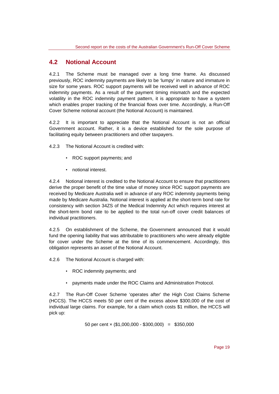## **4.2 Notional Account**

4.2.1 The Scheme must be managed over a long time frame. As discussed previously, ROC indemnity payments are likely to be 'lumpy' in nature and immature in size for some years. ROC support payments will be received well in advance of ROC indemnity payments. As a result of the payment timing mismatch and the expected volatility in the ROC indemnity payment pattern, it is appropriate to have a system which enables proper tracking of the financial flows over time. Accordingly, a Run-Off Cover Scheme notional account (the Notional Account) is maintained.

4.2.2 It is important to appreciate that the Notional Account is not an official Government account. Rather, it is a device established for the sole purpose of facilitating equity between practitioners and other taxpayers.

4.2.3 The Notional Account is credited with:

- ROC support payments; and
- notional interest.

4.2.4 Notional interest is credited to the Notional Account to ensure that practitioners derive the proper benefit of the time value of money since ROC support payments are received by Medicare Australia well in advance of any ROC indemnity payments being made by Medicare Australia. Notional interest is applied at the short-term bond rate for consistency with section 34ZS of the Medical Indemnity Act which requires interest at the short-term bond rate to be applied to the total run-off cover credit balances of individual practitioners.

4.2.5 On establishment of the Scheme, the Government announced that it would fund the opening liability that was attributable to practitioners who were already eligible for cover under the Scheme at the time of its commencement. Accordingly, this obligation represents an asset of the Notional Account.

4.2.6 The Notional Account is charged with:

- ROC indemnity payments; and
- payments made under the ROC Claims and Administration Protocol.

4.2.7 The Run-Off Cover Scheme 'operates after' the High Cost Claims Scheme (HCCS). The HCCS meets 50 per cent of the excess above \$300,000 of the cost of individual large claims. For example, for a claim which costs \$1 million, the HCCS will pick up:

50 per cent × (\$1,000,000 - \$300,000) = \$350,000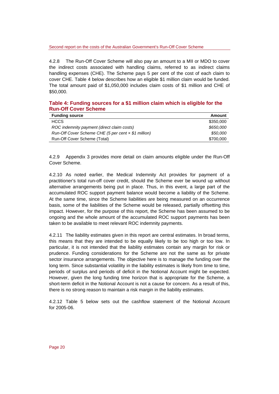#### Second report on the costs of the Australian Government's Run-Off Cover Scheme

4.2.8 The Run-Off Cover Scheme will also pay an amount to a MII or MDO to cover the indirect costs associated with handling claims, referred to as indirect claims handling expenses (CHE). The Scheme pays 5 per cent of the cost of each claim to cover CHE. Table 4 below describes how an eligible \$1 million claim would be funded. The total amount paid of \$1,050,000 includes claim costs of \$1 million and CHE of \$50,000.

#### **Table 4: Funding sources for a \$1 million claim which is eligible for the Run-Off Cover Scheme**

| <b>Funding source</b>                                 | Amount    |
|-------------------------------------------------------|-----------|
| <b>HCCS</b>                                           | \$350,000 |
| ROC indemnity payment (direct claim costs)            | \$650,000 |
| Run-Off Cover Scheme CHE (5 per cent $x$ \$1 million) | \$50,000  |
| Run-Off Cover Scheme (Total)                          | \$700,000 |

4.2.9 Appendix 3 provides more detail on claim amounts eligible under the Run-Off Cover Scheme.

4.2.10 As noted earlier, the Medical Indemnity Act provides for payment of a practitioner's total run-off cover credit, should the Scheme ever be wound up without alternative arrangements being put in place. Thus, in this event, a large part of the accumulated ROC support payment balance would become a liability of the Scheme. At the same time, since the Scheme liabilities are being measured on an occurrence basis, some of the liabilities of the Scheme would be released, partially offsetting this impact. However, for the purpose of this report, the Scheme has been assumed to be ongoing and the whole amount of the accumulated ROC support payments has been taken to be available to meet relevant ROC indemnity payments.

4.2.11 The liability estimates given in this report are central estimates. In broad terms, this means that they are intended to be equally likely to be too high or too low. In particular, it is not intended that the liability estimates contain any margin for risk or prudence. Funding considerations for the Scheme are not the same as for private sector insurance arrangements. The objective here is to manage the funding over the long term. Since substantial volatility in the liability estimates is likely from time to time, periods of surplus and periods of deficit in the Notional Account might be expected. However, given the long funding time horizon that is appropriate for the Scheme, a short-term deficit in the Notional Account is not a cause for concern. As a result of this, there is no strong reason to maintain a risk margin in the liability estimates.

4.2.12 Table 5 below sets out the cashflow statement of the Notional Account for 2005-06.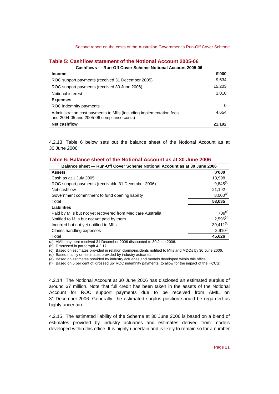#### **Table 5: Cashflow statement of the Notional Account 2005-06**

| Cashflows — Run-Off Cover Scheme Notional Account 2005-06                                                        |        |  |  |  |
|------------------------------------------------------------------------------------------------------------------|--------|--|--|--|
| <b>Income</b>                                                                                                    | \$'000 |  |  |  |
| ROC support payments (received 31 December 2005)                                                                 |        |  |  |  |
| ROC support payments (received 30 June 2006)                                                                     |        |  |  |  |
| Notional interest                                                                                                |        |  |  |  |
| <b>Expenses</b>                                                                                                  |        |  |  |  |
| ROC indemnity payments                                                                                           | 0      |  |  |  |
| Administration cost payments to MIIs (including implementation fees<br>and 2004-05 and 2005-06 compliance costs) |        |  |  |  |
| <b>Net cashflow</b>                                                                                              |        |  |  |  |

4.2.13 Table 6 below sets out the balance sheet of the Notional Account as at 30 June 2006.

#### **Table 6: Balance sheet of the Notional Account as at 30 June 2006**

| Balance sheet - Run-Off Cover Scheme Notional Account as at 30 June 2006 |                      |  |
|--------------------------------------------------------------------------|----------------------|--|
| <b>Assets</b>                                                            | \$'000               |  |
| Cash as at 1 July 2005                                                   | 13,998               |  |
| ROC support payments (receivable 31 December 2006)                       | $9,845^{(a)}$        |  |
| Net cashflow                                                             | 21,192               |  |
| Government commitment to fund opening liability                          | $8,000^{(b)}$        |  |
| Total                                                                    | 53.035               |  |
| <b>Liabilities</b>                                                       |                      |  |
| Paid by MIIs but not yet recovered from Medicare Australia               | $709^{(c)}$          |  |
| Notified to MIIs but not yet paid by them                                | 2,596 <sup>(d)</sup> |  |
| Incurred but not yet notified to MIIs                                    | $39,411^{(e)}$       |  |
| Claims handling expenses                                                 | $2,910^{(f)}$        |  |
| Total                                                                    | 45.626               |  |

(a) AMIL payment received 31 December 2006 discounted to 30 June 2006.

(b) Discussed in paragraph 4.2.17.

(c) Based on estimates provided in relation claims/incidents notified to MIIs and MDOs by 30 June 2006.

(d) Based mainly on estimates provided by industry actuaries.

(e) Based on estimates provided by industry actuaries and models developed within this office.

(f) Based on 5 per cent of 'grossed up' ROC indemnity payments (to allow for the impact of the HCCS).

4.2.14 The Notional Account at 30 June 2006 has disclosed an estimated surplus of around \$7 million. Note that full credit has been taken in the assets of the Notional Account for ROC support payments due to be received from AMIL on 31 December 2006. Generally, the estimated surplus position should be regarded as highly uncertain.

4.2.15 The estimated liability of the Scheme at 30 June 2006 is based on a blend of estimates provided by industry actuaries and estimates derived from models developed within this office. It is highly uncertain and is likely to remain so for a number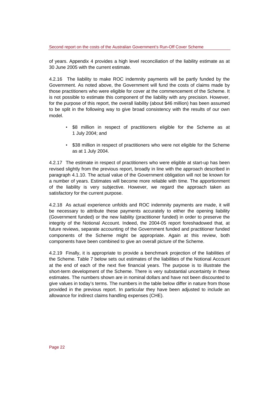of years. Appendix 4 provides a high level reconciliation of the liability estimate as at 30 June 2005 with the current estimate.

4.2.16 The liability to make ROC indemnity payments will be partly funded by the Government. As noted above, the Government will fund the costs of claims made by those practitioners who were eligible for cover at the commencement of the Scheme. It is not possible to estimate this component of the liability with any precision. However, for the purpose of this report, the overall liability (about \$46 million) has been assumed to be split in the following way to give broad consistency with the results of our own model.

- \$8 million in respect of practitioners eligible for the Scheme as at 1 July 2004; and
- \$38 million in respect of practitioners who were not eligible for the Scheme as at 1 July 2004.

4.2.17 The estimate in respect of practitioners who were eligible at start-up has been revised slightly from the previous report, broadly in line with the approach described in paragraph 4.1.10. The actual value of the Government obligation will not be known for a number of years. Estimates will become more reliable with time. The apportionment of the liability is very subjective. However, we regard the approach taken as satisfactory for the current purpose.

4.2.18 As actual experience unfolds and ROC indemnity payments are made, it will be necessary to attribute these payments accurately to either the opening liability (Government funded) or the new liability (practitioner funded) in order to preserve the integrity of the Notional Account. Indeed, the 2004-05 report foreshadowed that, at future reviews, separate accounting of the Government funded and practitioner funded components of the Scheme might be appropriate. Again at this review, both components have been combined to give an overall picture of the Scheme.

4.2.19 Finally, it is appropriate to provide a benchmark projection of the liabilities of the Scheme. Table 7 below sets out estimates of the liabilities of the Notional Account at the end of each of the next five financial years. The purpose is to illustrate the short-term development of the Scheme. There is very substantial uncertainty in these estimates. The numbers shown are in nominal dollars and have not been discounted to give values in today's terms. The numbers in the table below differ in nature from those provided in the previous report. In particular they have been adjusted to include an allowance for indirect claims handling expenses (CHE).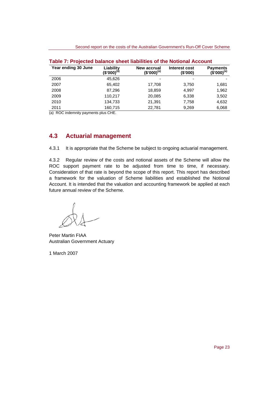| Year ending 30 June | Liability<br>(\$'000) <sup>(ā)</sup> | <b>New accrual</b><br>$(S'000)^{(a)}$ | Interest cost<br>(\$'000) | <b>Payments</b><br>$(\$'000)^{(a)}$ |
|---------------------|--------------------------------------|---------------------------------------|---------------------------|-------------------------------------|
| 2006                | 45.626                               |                                       |                           |                                     |
| 2007                | 65,402                               | 17,708                                | 3,750                     | 1,681                               |
| 2008                | 87,296                               | 18,859                                | 4,997                     | 1,962                               |
| 2009                | 110,217                              | 20,085                                | 6,338                     | 3,502                               |
| 2010                | 134,733                              | 21,391                                | 7,758                     | 4,632                               |
| 2011                | 160,715                              | 22.781                                | 9,269                     | 6,068                               |

(a) ROC indemnity payments plus CHE.

## **4.3 Actuarial management**

4.3.1 It is appropriate that the Scheme be subject to ongoing actuarial management.

4.3.2 Regular review of the costs and notional assets of the Scheme will allow the ROC support payment rate to be adjusted from time to time, if necessary. Consideration of that rate is beyond the scope of this report. This report has described a framework for the valuation of Scheme liabilities and established the Notional Account. It is intended that the valuation and accounting framework be applied at each future annual review of the Scheme.

Peter Martin FIAA Australian Government Actuary

1 March 2007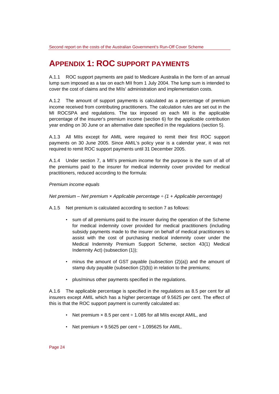## **APPENDIX 1: ROC SUPPORT PAYMENTS**

A.1.1 ROC support payments are paid to Medicare Australia in the form of an annual lump sum imposed as a tax on each MII from 1 July 2004. The lump sum is intended to cover the cost of claims and the MIIs' administration and implementation costs.

A.1.2 The amount of support payments is calculated as a percentage of premium income received from contributing practitioners. The calculation rules are set out in the MI ROCSPA and regulations. The tax imposed on each MII is the applicable percentage of the insurer's premium income (section 6) for the applicable contribution year ending on 30 June or an alternative date specified in the regulations (section 5).

A.1.3 All MIIs except for AMIL were required to remit their first ROC support payments on 30 June 2005. Since AMIL's policy year is a calendar year, it was not required to remit ROC support payments until 31 December 2005.

A.1.4 Under section 7, a MII's premium income for the purpose is the sum of all of the premiums paid to the insurer for medical indemnity cover provided for medical practitioners, reduced according to the formula:

*Premium income equals* 

*Net premium – Net premium × Applicable percentage ÷ (1 + Applicable percentage)* 

A.1.5 Net premium is calculated according to section 7 as follows:

- sum of all premiums paid to the insurer during the operation of the Scheme for medical indemnity cover provided for medical practitioners (including subsidy payments made to the insurer on behalf of medical practitioners to assist with the cost of purchasing medical indemnity cover under the Medical Indemnity Premium Support Scheme, section 43(1) Medical Indemnity Act) (subsection (1));
- minus the amount of GST payable (subsection (2)(a)) and the amount of stamp duty payable (subsection (2)(b)) in relation to the premiums;
- plus/minus other payments specified in the regulations.

A.1.6 The applicable percentage is specified in the regulations as 8.5 per cent for all insurers except AMIL which has a higher percentage of 9.5625 per cent. The effect of this is that the ROC support payment is currently calculated as:

- Net premium  $\times$  8.5 per cent  $\div$  1.085 for all MIIs except AMIL, and
- Net premium  $\times$  9.5625 per cent  $\div$  1.095625 for AMIL.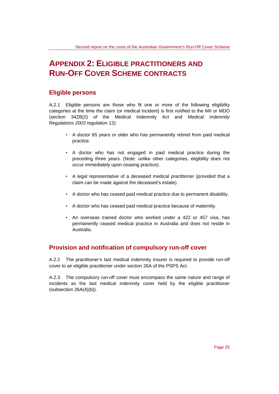## **APPENDIX 2: ELIGIBLE PRACTITIONERS AND RUN-OFF COVER SCHEME CONTRACTS**

## **Eligible persons**

A.2.1 Eligible persons are those who fit one or more of the following eligibility categories at the time the claim (or medical incident) is first notified to the MII or MDO (section 34ZB(2) of the Medical Indemnity Act and *Medical Indemnity Regulations 2003* regulation 12):

- A doctor 65 years or older who has permanently retired from paid medical practice.
- A doctor who has not engaged in paid medical practice during the preceding three years. (Note: unlike other categories, eligibility does not occur immediately upon ceasing practice).
- A legal representative of a deceased medical practitioner (provided that a claim can be made against the deceased's estate).
- A doctor who has ceased paid medical practice due to permanent disability.
- A doctor who has ceased paid medical practice because of maternity.
- An overseas trained doctor who worked under a 422 or 457 visa, has permanently ceased medical practice in Australia and does not reside in Australia.

### **Provision and notification of compulsory run-off cover**

A.2.2 The practitioner's last medical indemnity insurer is required to provide run-off cover to an eligible practitioner under section 26A of the PSPS Act.

A.2.3 The compulsory run-off cover must encompass the same nature and range of incidents as the last medical indemnity cover held by the eligible practitioner (subsection 26A(4)(b)).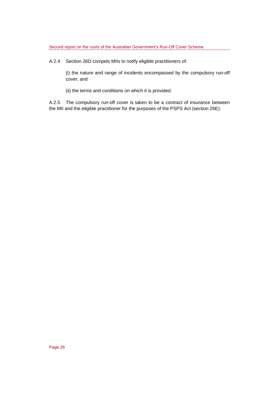A.2.4 Section 26D compels MIIs to notify eligible practitioners of:

(i) the nature and range of incidents encompassed by the compulsory run-off cover; and

(ii) the terms and conditions on which it is provided.

A.2.5 The compulsory run-off cover is taken to be a contract of insurance between the MII and the eligible practitioner for the purposes of the PSPS Act (section 26E).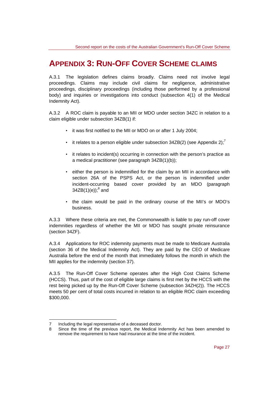## **APPENDIX 3: RUN-OFF COVER SCHEME CLAIMS**

A.3.1 The legislation defines claims broadly. Claims need not involve legal proceedings. Claims may include civil claims for negligence, administrative proceedings, disciplinary proceedings (including those performed by a professional body) and inquiries or investigations into conduct (subsection 4(1) of the Medical Indemnity Act).

A.3.2 A ROC claim is payable to an MII or MDO under section 34ZC in relation to a claim eligible under subsection 34ZB(1) if:

- it was first notified to the MII or MDO on or after 1 July 2004;
- it relates to a person eligible under subsection 34ZB(2) (see Appendix 2);<sup>7</sup>
- it relates to incident(s) occurring in connection with the person's practice as a medical practitioner (see paragraph 34ZB(1)(b));
- either the person is indemnified for the claim by an MII in accordance with section 26A of the PSPS Act, or the person is indemnified under incident-occurring based cover provided by an MDO (paragraph  $34ZB(1)(e))$ ;<sup>8</sup> and
- the claim would be paid in the ordinary course of the MII's or MDO's business.

A.3.3 Where these criteria are met, the Commonwealth is liable to pay run-off cover indemnities regardless of whether the MII or MDO has sought private reinsurance (section 34ZF).

A.3.4 Applications for ROC indemnity payments must be made to Medicare Australia (section 36 of the Medical Indemnity Act). They are paid by the CEO of Medicare Australia before the end of the month that immediately follows the month in which the MII applies for the indemnity (section 37).

A.3.5 The Run-Off Cover Scheme operates after the High Cost Claims Scheme (HCCS). Thus, part of the cost of eligible large claims is first met by the HCCS with the rest being picked up by the Run-Off Cover Scheme (subsection 34ZH(2)). The HCCS meets 50 per cent of total costs incurred in relation to an eligible ROC claim exceeding \$300,000.

l 7 Including the legal representative of a deceased doctor.

<sup>8</sup> Since the time of the previous report, the Medical Indemnity Act has been amended to remove the requirement to have had insurance at the time of the incident.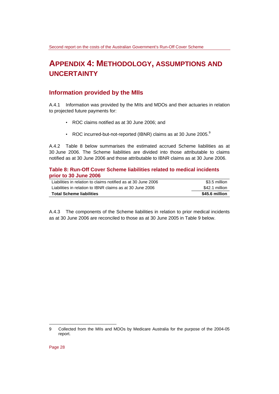## **APPENDIX 4: METHODOLOGY, ASSUMPTIONS AND UNCERTAINTY**

## **Information provided by the MIIs**

A.4.1 Information was provided by the MIIs and MDOs and their actuaries in relation to projected future payments for:

- ROC claims notified as at 30 June 2006; and
- ROC incurred-but-not-reported (IBNR) claims as at 30 June 2005.<sup>9</sup>

A.4.2 Table 8 below summarises the estimated accrued Scheme liabilities as at 30 June 2006. The Scheme liabilities are divided into those attributable to claims notified as at 30 June 2006 and those attributable to IBNR claims as at 30 June 2006.

#### **Table 8: Run-Off Cover Scheme liabilities related to medical incidents prior to 30 June 2006**

| Liabilities in relation to claims notified as at 30 June 2006 | \$3.5 million  |
|---------------------------------------------------------------|----------------|
| Liabilities in relation to IBNR claims as at 30 June 2006     | \$42.1 million |
| <b>Total Scheme liabilities</b>                               | \$45.6 million |

A.4.3 The components of the Scheme liabilities in relation to prior medical incidents as at 30 June 2006 are reconciled to those as at 30 June 2005 in Table 9 below.

l

<sup>9</sup> Collected from the MIIs and MDOs by Medicare Australia for the purpose of the 2004-05 report.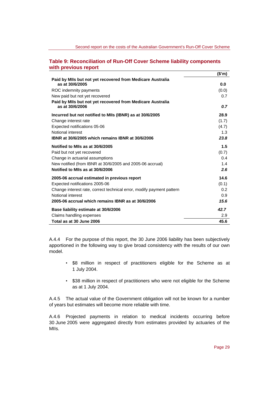#### **Table 9: Reconciliation of Run-Off Cover Scheme liability components with previous report**

|                                                                               | (\$m)            |
|-------------------------------------------------------------------------------|------------------|
| Paid by MIIs but not yet recovered from Medicare Australia<br>as at 30/6/2005 | 0.0              |
| ROC indemnity payments                                                        | (0.0)            |
| New paid but not yet recovered                                                | 0.7              |
| Paid by MIIs but not yet recovered from Medicare Australia                    |                  |
| as at 30/6/2006                                                               | 0.7              |
| Incurred but not notified to MIIs (IBNR) as at 30/6/2005                      | 28.9             |
| Change interest rate                                                          | (1.7)            |
| Expected notifications 05-06                                                  | (4.7)            |
| Notional interest                                                             | 1.3              |
| IBNR at 30/6/2005 which remains IBNR at 30/6/2006                             | 23.8             |
| Notified to MIIs as at 30/6/2005                                              | 1.5              |
| Paid but not yet recovered                                                    | (0.7)            |
| Change in actuarial assumptions                                               | 0.4              |
| New notified (from IBNR at 30/6/2005 and 2005-06 accrual)                     | 1.4              |
| Notified to MIIs as at 30/6/2006                                              | 2.6              |
| 2005-06 accrual estimated in previous report                                  | 14.6             |
| Expected notifications 2005-06                                                | (0.1)            |
| Change interest rate, correct technical error, modify payment pattern         | 0.2 <sub>2</sub> |
| Notional interest                                                             | 0.9              |
| 2005-06 accrual which remains IBNR as at 30/6/2006                            | 15.6             |
| Base liability estimate at 30/6/2006                                          | 42.7             |
| Claims handling expenses                                                      | 2.9              |
| Total as at 30 June 2006                                                      | 45.6             |

A.4.4 For the purpose of this report, the 30 June 2006 liability has been subjectively apportioned in the following way to give broad consistency with the results of our own model.

- \$8 million in respect of practitioners eligible for the Scheme as at 1 July 2004.
- \$38 million in respect of practitioners who were not eligible for the Scheme as at 1 July 2004.

A.4.5 The actual value of the Government obligation will not be known for a number of years but estimates will become more reliable with time.

A.4.6 Projected payments in relation to medical incidents occurring before 30 June 2005 were aggregated directly from estimates provided by actuaries of the MIIs.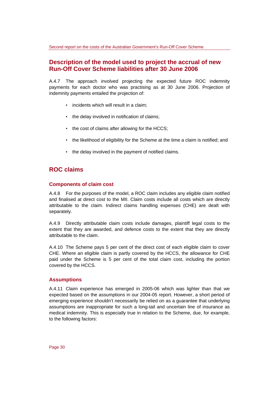### **Description of the model used to project the accrual of new Run-Off Cover Scheme liabilities after 30 June 2006**

A.4.7 The approach involved projecting the expected future ROC indemnity payments for each doctor who was practising as at 30 June 2006. Projection of indemnity payments entailed the projection of:

- incidents which will result in a claim;
- the delay involved in notification of claims;
- the cost of claims after allowing for the HCCS;
- the likelihood of eligibility for the Scheme at the time a claim is notified; and
- the delay involved in the payment of notified claims.

## **ROC claims**

#### **Components of claim cost**

A.4.8 For the purposes of the model, a ROC claim includes any eligible claim notified and finalised at direct cost to the MII. Claim costs include all costs which are directly attributable to the claim. Indirect claims handling expenses (CHE) are dealt with separately.

A.4.9 Directly attributable claim costs include damages, plaintiff legal costs to the extent that they are awarded, and defence costs to the extent that they are directly attributable to the claim.

A.4.10 The Scheme pays 5 per cent of the direct cost of each eligible claim to cover CHE. Where an eligible claim is partly covered by the HCCS, the allowance for CHE paid under the Scheme is 5 per cent of the total claim cost, including the portion covered by the HCCS.

#### **Assumptions**

A.4.11 Claim experience has emerged in 2005-06 which was lighter than that we expected based on the assumptions in our 2004-05 report. However, a short period of emerging experience shouldn't necessarily be relied on as a guarantee that underlying assumptions are inappropriate for such a long-tail and uncertain line of insurance as medical indemnity. This is especially true in relation to the Scheme, due, for example, to the following factors: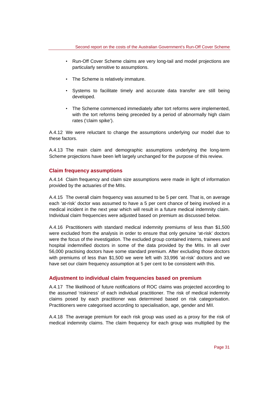- Run-Off Cover Scheme claims are very long-tail and model projections are particularly sensitive to assumptions.
- The Scheme is relatively immature.
- Systems to facilitate timely and accurate data transfer are still being developed.
- The Scheme commenced immediately after tort reforms were implemented, with the tort reforms being preceded by a period of abnormally high claim rates ('claim spike').

A.4.12 We were reluctant to change the assumptions underlying our model due to these factors.

A.4.13 The main claim and demographic assumptions underlying the long-term Scheme projections have been left largely unchanged for the purpose of this review.

#### **Claim frequency assumptions**

A.4.14 Claim frequency and claim size assumptions were made in light of information provided by the actuaries of the MIIs.

A.4.15 The overall claim frequency was assumed to be 5 per cent. That is, on average each 'at-risk' doctor was assumed to have a 5 per cent chance of being involved in a medical incident in the next year which will result in a future medical indemnity claim. Individual claim frequencies were adjusted based on premium as discussed below.

A.4.16 Practitioners with standard medical indemnity premiums of less than \$1,500 were excluded from the analysis in order to ensure that only genuine 'at-risk' doctors were the focus of the investigation. The excluded group contained interns, trainees and hospital indemnified doctors in some of the data provided by the MIIs. In all over 56,000 practising doctors have some standard premium. After excluding those doctors with premiums of less than \$1,500 we were left with 33,996 'at-risk' doctors and we have set our claim frequency assumption at 5 per cent to be consistent with this.

#### **Adjustment to individual claim frequencies based on premium**

A.4.17 The likelihood of future notifications of ROC claims was projected according to the assumed 'riskiness' of each individual practitioner. The risk of medical indemnity claims posed by each practitioner was determined based on risk categorisation. Practitioners were categorised according to specialisation, age, gender and MII.

A.4.18 The average premium for each risk group was used as a proxy for the risk of medical indemnity claims. The claim frequency for each group was multiplied by the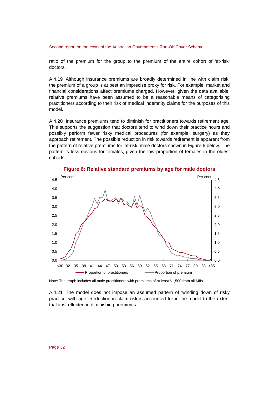ratio of the premium for the group to the premium of the entire cohort of 'at-risk' doctors.

A.4.19 Although insurance premiums are broadly determined in line with claim risk, the premium of a group is at best an imprecise proxy for risk. For example, market and financial considerations affect premiums charged. However, given the data available, relative premiums have been assumed to be a reasonable means of categorising practitioners according to their risk of medical indemnity claims for the purposes of this model.

A.4.20 Insurance premiums tend to diminish for practitioners towards retirement age. This supports the suggestion that doctors tend to wind down their practice hours and possibly perform fewer risky medical procedures (for example, surgery) as they approach retirement. The possible reduction in risk towards retirement is apparent from the pattern of relative premiums for 'at-risk' male doctors shown in Figure 6 below. The pattern is less obvious for females, given the low proportion of females in the oldest cohorts.



**Figure 6: Relative standard premiums by age for male doctors** 

Note: The graph includes all male practitioners with premiums of at least \$1,500 from all MIIs.

A.4.21 The model does not impose an assumed pattern of 'winding down of risky practice' with age. Reduction in claim risk is accounted for in the model to the extent that it is reflected in diminishing premiums.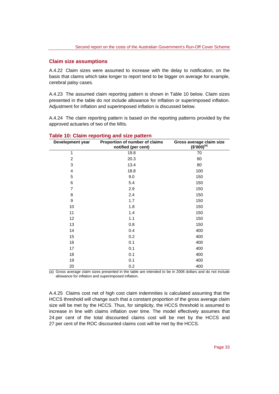#### **Claim size assumptions**

A.4.22 Claim sizes were assumed to increase with the delay to notification, on the basis that claims which take longer to report tend to be bigger on average for example, cerebral palsy cases.

A.4.23 The assumed claim reporting pattern is shown in Table 10 below. Claim sizes presented in the table do not include allowance for inflation or superimposed inflation. Adjustment for inflation and superimposed inflation is discussed below.

A.4.24 The claim reporting pattern is based on the reporting patterns provided by the approved actuaries of two of the MIIs.

| Development year | Proportion of number of claims<br>notified (per cent) | Gross average claim size $$^{\prime}000)^{(a)}$ |
|------------------|-------------------------------------------------------|-------------------------------------------------|
| 1                | 19.8                                                  | 70                                              |
| $\overline{2}$   | 20.3                                                  | 80                                              |
| 3                | 13.4                                                  | 80                                              |
| $\overline{4}$   | 18.8                                                  | 100                                             |
| 5                | 9.0                                                   | 150                                             |
| 6                | 5.4                                                   | 150                                             |
| $\overline{7}$   | 2.9                                                   | 150                                             |
| 8                | 2.4                                                   | 150                                             |
| 9                | 1.7                                                   | 150                                             |
| 10               | 1.8                                                   | 150                                             |
| 11               | 1.4                                                   | 150                                             |
| 12               | 1.1                                                   | 150                                             |
| 13               | 0.8                                                   | 150                                             |
| 14               | 0.4                                                   | 400                                             |
| 15               | 0.2                                                   | 400                                             |
| 16               | 0.1                                                   | 400                                             |
| 17               | 0.1                                                   | 400                                             |
| 18               | 0.1                                                   | 400                                             |
| 19               | 0.1                                                   | 400                                             |
| 20               | 0.2                                                   | 400                                             |

#### **Table 10: Claim reporting and size pattern**

(a) Gross average claim sizes presented in the table are intended to be in 2006 dollars and do not include allowance for inflation and superimposed inflation.

A.4.25 Claims cost net of high cost claim indemnities is calculated assuming that the HCCS threshold will change such that a constant proportion of the gross average claim size will be met by the HCCS. Thus, for simplicity, the HCCS threshold is assumed to increase in line with claims inflation over time. The model effectively assumes that 24 per cent of the total discounted claims cost will be met by the HCCS and 27 per cent of the ROC discounted claims cost will be met by the HCCS.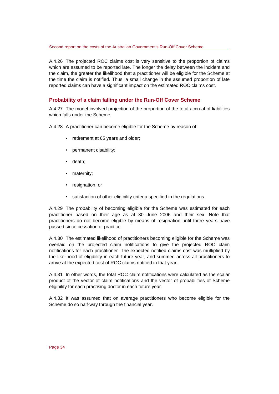A.4.26 The projected ROC claims cost is very sensitive to the proportion of claims which are assumed to be reported late. The longer the delay between the incident and the claim, the greater the likelihood that a practitioner will be eligible for the Scheme at the time the claim is notified. Thus, a small change in the assumed proportion of late reported claims can have a significant impact on the estimated ROC claims cost.

#### **Probability of a claim falling under the Run-Off Cover Scheme**

A.4.27 The model involved projection of the proportion of the total accrual of liabilities which falls under the Scheme.

A.4.28 A practitioner can become eligible for the Scheme by reason of:

- retirement at 65 years and older;
- permanent disability;
- death;
- maternity;
- resignation; or
- satisfaction of other eligibility criteria specified in the regulations.

A.4.29 The probability of becoming eligible for the Scheme was estimated for each practitioner based on their age as at 30 June 2006 and their sex. Note that practitioners do not become eligible by means of resignation until three years have passed since cessation of practice.

A.4.30 The estimated likelihood of practitioners becoming eligible for the Scheme was overlaid on the projected claim notifications to give the projected ROC claim notifications for each practitioner. The expected notified claims cost was multiplied by the likelihood of eligibility in each future year, and summed across all practitioners to arrive at the expected cost of ROC claims notified in that year.

A.4.31 In other words, the total ROC claim notifications were calculated as the scalar product of the vector of claim notifications and the vector of probabilities of Scheme eligibility for each practising doctor in each future year.

A.4.32 It was assumed that on average practitioners who become eligible for the Scheme do so half-way through the financial year.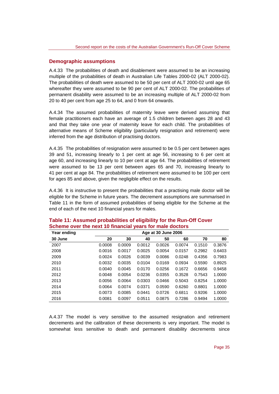#### **Demographic assumptions**

A.4.33 The probabilities of death and disablement were assumed to be an increasing multiple of the probabilities of death in Australian Life Tables 2000-02 (ALT 2000-02). The probabilities of death were assumed to be 50 per cent of ALT 2000-02 until age 65 whereafter they were assumed to be 90 per cent of ALT 2000-02. The probabilities of permanent disability were assumed to be an increasing multiple of ALT 2000-02 from 20 to 40 per cent from age 25 to 64, and 0 from 64 onwards.

A.4.34 The assumed probabilities of maternity leave were derived assuming that female practitioners each have an average of 1.5 children between ages 28 and 43 and that they take one year of maternity leave for each child. The probabilities of alternative means of Scheme eligibility (particularly resignation and retirement) were inferred from the age distribution of practising doctors.

A.4.35 The probabilities of resignation were assumed to be 0.5 per cent between ages 39 and 51, increasing linearly to 1 per cent at age 56, increasing to 6 per cent at age 60, and increasing linearly to 10 per cent at age 64. The probabilities of retirement were assumed to be 13 per cent between ages 65 and 70, increasing linearly to 41 per cent at age 84. The probabilities of retirement were assumed to be 100 per cent for ages 85 and above, given the negligible effect on the results.

A.4.36 It is instructive to present the probabilities that a practising male doctor will be eligible for the Scheme in future years. The decrement assumptions are summarised in Table 11 in the form of assumed probabilities of being eligible for the Scheme at the end of each of the next 10 financial years for males.

| Year ending | Age at 30 June 2006 |        |        |        |        |        |        |
|-------------|---------------------|--------|--------|--------|--------|--------|--------|
| 30 June     | 20                  | 30     | 40     | 50     | 60     | 70     | 80     |
| 2007        | 0.0008              | 0.0009 | 0.0012 | 0.0026 | 0.0074 | 0.1510 | 0.3876 |
| 2008        | 0.0016              | 0.0017 | 0.0025 | 0.0054 | 0.0157 | 0.2982 | 0.6403 |
| 2009        | 0.0024              | 0.0026 | 0.0039 | 0.0086 | 0.0248 | 0.4356 | 0.7983 |
| 2010        | 0.0032              | 0.0035 | 0.0104 | 0.0169 | 0.0934 | 0.5590 | 0.8925 |
| 2011        | 0.0040              | 0.0045 | 0.0170 | 0.0256 | 0.1672 | 0.6656 | 0.9458 |
| 2012        | 0.0048              | 0.0054 | 0.0236 | 0.0355 | 0.3528 | 0.7543 | 1.0000 |
| 2013        | 0.0056              | 0.0064 | 0.0303 | 0.0466 | 0.5043 | 0.8254 | 1.0000 |
| 2014        | 0.0064              | 0.0074 | 0.0371 | 0.0590 | 0.6260 | 0.8801 | 1.0000 |
| 2015        | 0.0073              | 0.0085 | 0.0441 | 0.0726 | 0.6811 | 0.9206 | 1.0000 |
| 2016        | 0.0081              | 0.0097 | 0.0511 | 0.0875 | 0.7286 | 0.9494 | 1.0000 |

#### **Table 11: Assumed probabilities of eligibility for the Run-Off Cover Scheme over the next 10 financial years for male doctors**

A.4.37 The model is very sensitive to the assumed resignation and retirement decrements and the calibration of these decrements is very important. The model is somewhat less sensitive to death and permanent disability decrements since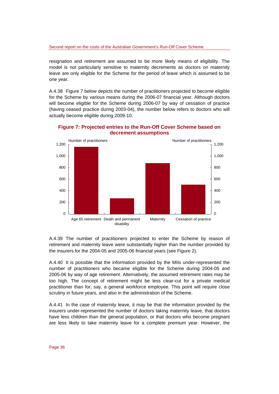Second report on the costs of the Australian Government's Run-Off Cover Scheme

resignation and retirement are assumed to be more likely means of eligibility. The model is not particularly sensitive to maternity decrements as doctors on maternity leave are only eligible for the Scheme for the period of leave which is assumed to be one year.

A.4.38 Figure 7 below depicts the number of practitioners projected to become eligible for the Scheme by various means during the 2006-07 financial year. Although doctors will become eligible for the Scheme during 2006-07 by way of cessation of practice (having ceased practice during 2003-04), the number below refers to doctors who will actually become eligible during 2009-10.



**Figure 7: Projected entries to the Run-Off Cover Scheme based on decrement assumptions** 

A.4.39 The number of practitioners projected to enter the Scheme by reason of retirement and maternity leave were substantially higher than the number provided by the insurers for the 2004-05 and 2005-06 financial years (see Figure 2).

A.4.40 It is possible that the information provided by the MIIs under-represented the number of practitioners who became eligible for the Scheme during 2004-05 and 2005-06 by way of age retirement. Alternatively, the assumed retirement rates may be too high. The concept of retirement might be less clear-cut for a private medical practitioner than for, say, a general workforce employee. This point will require close scrutiny in future years, and also in the administration of the Scheme.

A.4.41 In the case of maternity leave, it may be that the information provided by the insurers under-represented the number of doctors taking maternity leave, that doctors have less children than the general population, or that doctors who become pregnant are less likely to take maternity leave for a complete premium year. However, the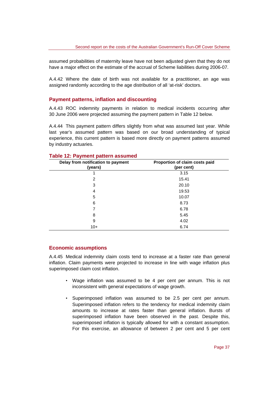assumed probabilities of maternity leave have not been adjusted given that they do not have a major effect on the estimate of the accrual of Scheme liabilities during 2006-07.

A.4.42 Where the date of birth was not available for a practitioner, an age was assigned randomly according to the age distribution of all 'at-risk' doctors.

#### **Payment patterns, inflation and discounting**

A.4.43 ROC indemnity payments in relation to medical incidents occurring after 30 June 2006 were projected assuming the payment pattern in Table 12 below.

A.4.44 This payment pattern differs slightly from what was assumed last year. While last year's assumed pattern was based on our broad understanding of typical experience, this current pattern is based more directly on payment patterns assumed by industry actuaries.

| Delay from notification to payment<br>(years) | Proportion of claim costs paid<br>(per cent) |  |  |
|-----------------------------------------------|----------------------------------------------|--|--|
|                                               | 3.15                                         |  |  |
| 2                                             | 15.41                                        |  |  |
| 3                                             | 20.10                                        |  |  |
| 4                                             | 19.53                                        |  |  |
| 5                                             | 10.07                                        |  |  |
| 6                                             | 8.73                                         |  |  |
|                                               | 6.78                                         |  |  |
| 8                                             | 5.45                                         |  |  |
| 9                                             | 4.02                                         |  |  |
| $10+$                                         | 6.74                                         |  |  |

#### **Table 12: Payment pattern assumed**

#### **Economic assumptions**

A.4.45 Medical indemnity claim costs tend to increase at a faster rate than general inflation. Claim payments were projected to increase in line with wage inflation plus superimposed claim cost inflation.

- Wage inflation was assumed to be 4 per cent per annum. This is not inconsistent with general expectations of wage growth.
- Superimposed inflation was assumed to be 2.5 per cent per annum. Superimposed inflation refers to the tendency for medical indemnity claim amounts to increase at rates faster than general inflation. Bursts of superimposed inflation have been observed in the past. Despite this, superimposed inflation is typically allowed for with a constant assumption. For this exercise, an allowance of between 2 per cent and 5 per cent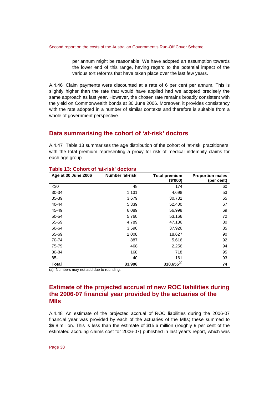per annum might be reasonable. We have adopted an assumption towards the lower end of this range, having regard to the potential impact of the various tort reforms that have taken place over the last few years.

A.4.46 Claim payments were discounted at a rate of 6 per cent per annum. This is slightly higher than the rate that would have applied had we adopted precisely the same approach as last year. However, the chosen rate remains broadly consistent with the yield on Commonwealth bonds at 30 June 2006. Moreover, it provides consistency with the rate adopted in a number of similar contexts and therefore is suitable from a whole of government perspective.

#### **Data summarising the cohort of 'at-risk' doctors**

A.4.47 Table 13 summarises the age distribution of the cohort of 'at-risk' practitioners, with the total premium representing a proxy for risk of medical indemnity claims for each age group.

| Age at 30 June 2006 | Number 'at-risk' | <b>Total premium</b><br>(\$'000) | <b>Proportion males</b><br>(per cent) |
|---------------------|------------------|----------------------------------|---------------------------------------|
| <30                 | 48               | 174                              | 60                                    |
| 30-34               | 1,131            | 4,698                            | 53                                    |
| 35-39               | 3,679            | 30,731                           | 65                                    |
| 40-44               | 5,339            | 52,400                           | 67                                    |
| 45-49               | 6,089            | 56,998                           | 69                                    |
| 50-54               | 5,760            | 53,166                           | 72                                    |
| 55-59               | 4,789            | 47,186                           | 80                                    |
| 60-64               | 3,590            | 37,926                           | 85                                    |
| 65-69               | 2,008            | 18,627                           | 90                                    |
| 70-74               | 887              | 5,616                            | 92                                    |
| 75-79               | 468              | 2,256                            | 94                                    |
| 80-84               | 168              | 718                              | 95                                    |
| $85 -$              | 40               | 161                              | 93                                    |
| <b>Total</b>        | 33,996           | $310,655^{(a)}$                  | 74                                    |

#### **Table 13: Cohort of 'at-risk' doctors**

(a) Numbers may not add due to rounding.

#### **Estimate of the projected accrual of new ROC liabilities during the 2006-07 financial year provided by the actuaries of the MIIs**

A.4.48 An estimate of the projected accrual of ROC liabilities during the 2006-07 financial year was provided by each of the actuaries of the MIIs; these summed to \$9.8 million. This is less than the estimate of \$15.6 million (roughly 9 per cent of the estimated accruing claims cost for 2006-07) published in last year's report, which was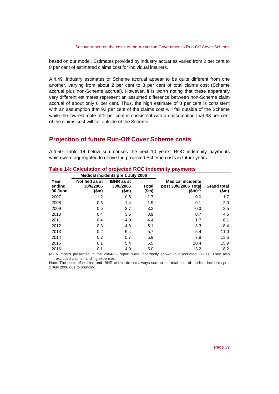based on our model. Estimates provided by industry actuaries varied from 2 per cent to 8 per cent of estimated claims cost for individual insurers.

A.4.49 Industry estimates of Scheme accrual appear to be quite different from one another, varying from about 2 per cent to 8 per cent of total claims cost (Scheme accrual plus non-Scheme accrual). However, it is worth noting that these apparently very different estimates represent an assumed difference between non-Scheme claim accrual of about only 6 per cent. Thus, the high estimate of 8 per cent is consistent with an assumption that 92 per cent of the claims cost will fall outside of the Scheme while the low estimate of 2 per cent is consistent with an assumption that 98 per cent of the claims cost will fall outside of the Scheme.

### **Projection of future Run-Off Cover Scheme costs**

A.4.50 Table 14 below summarises the next 10 years' ROC indemnity payments which were aggregated to derive the projected Scheme costs in future years.

|                           | Medical incidents pre 1 July 2006           |                                         |                       |                                                                   |                             |
|---------------------------|---------------------------------------------|-----------------------------------------|-----------------------|-------------------------------------------------------------------|-----------------------------|
| Year<br>ending<br>30 June | <b>Notified as at</b><br>30/6/2006<br>(\$m) | <b>IBNR</b> as at<br>30/6/2006<br>(\$m) | <b>Total</b><br>(\$m) | <b>Medical incidents</b><br>post 30/6/2006 Total<br>$(\$m)^{(a)}$ | <b>Grand total</b><br>(\$m) |
| 2007                      | 1.2                                         | 0.5                                     | 1.7                   | 0.0                                                               | 1.7                         |
| 2008                      | 0.5                                         | 1.4                                     | 1.9                   | 0.1                                                               | 2.0                         |
| 2009                      | 0.5                                         | 2.7                                     | 3.2                   | 0.3                                                               | 3.5                         |
| 2010                      | 0.4                                         | 3.5                                     | 3.9                   | 0.7                                                               | 4.6                         |
| 2011                      | 0.4                                         | 4.0                                     | 4.4                   | 1.7                                                               | 6.1                         |
| 2012                      | 0.3                                         | 4.8                                     | 5.1                   | 3.3                                                               | 8.4                         |
| 2013                      | 0.2                                         | 5.4                                     | 5.7                   | 5.4                                                               | 11.0                        |
| 2014                      | 0.2                                         | 5.7                                     | 5.9                   | 7.8                                                               | 13.6                        |
| 2015                      | 0.1                                         | 5.4                                     | 5.5                   | 10.4                                                              | 15.9                        |
| 2016                      | 0.1                                         | 4.9                                     | 5.0                   | 13.2                                                              | 18.2                        |

#### **Table 14: Calculation of projected ROC indemnity payments**

(a) Numbers presented in the 2004-05 report were incorrectly shown in discounted values. They also excluded claims handling expenses.

Note: The costs of notified and IBNR claims do not always sum to the total cost of medical incidents pre 1 July 2006 due to rounding.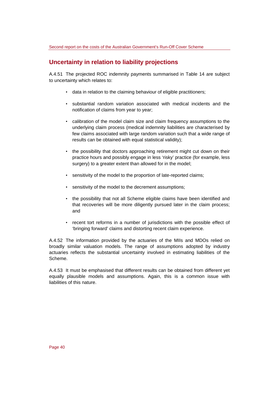## **Uncertainty in relation to liability projections**

A.4.51 The projected ROC indemnity payments summarised in Table 14 are subject to uncertainty which relates to:

- data in relation to the claiming behaviour of eligible practitioners;
- substantial random variation associated with medical incidents and the notification of claims from year to year;
- calibration of the model claim size and claim frequency assumptions to the underlying claim process (medical indemnity liabilities are characterised by few claims associated with large random variation such that a wide range of results can be obtained with equal statistical validity);
- the possibility that doctors approaching retirement might cut down on their practice hours and possibly engage in less 'risky' practice (for example, less surgery) to a greater extent than allowed for in the model;
- sensitivity of the model to the proportion of late-reported claims;
- sensitivity of the model to the decrement assumptions;
- the possibility that not all Scheme eligible claims have been identified and that recoveries will be more diligently pursued later in the claim process; and
- recent tort reforms in a number of jurisdictions with the possible effect of 'bringing forward' claims and distorting recent claim experience.

A.4.52 The information provided by the actuaries of the MIIs and MDOs relied on broadly similar valuation models. The range of assumptions adopted by industry actuaries reflects the substantial uncertainty involved in estimating liabilities of the Scheme.

A.4.53 It must be emphasised that different results can be obtained from different yet equally plausible models and assumptions. Again, this is a common issue with liabilities of this nature.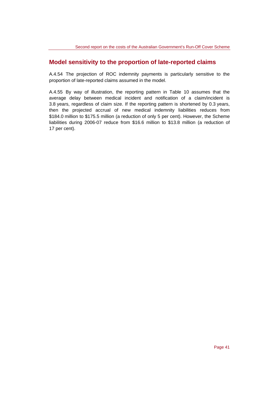### **Model sensitivity to the proportion of late-reported claims**

A.4.54 The projection of ROC indemnity payments is particularly sensitive to the proportion of late-reported claims assumed in the model.

A.4.55 By way of illustration, the reporting pattern in Table 10 assumes that the average delay between medical incident and notification of a claim/incident is 3.8 years, regardless of claim size. If the reporting pattern is shortened by 0.3 years, then the projected accrual of new medical indemnity liabilities reduces from \$184.0 million to \$175.5 million (a reduction of only 5 per cent). However, the Scheme liabilities during 2006-07 reduce from \$16.6 million to \$13.8 million (a reduction of 17 per cent).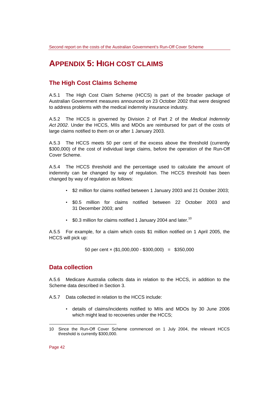## **APPENDIX 5: HIGH COST CLAIMS**

## **The High Cost Claims Scheme**

A.5.1 The High Cost Claim Scheme (HCCS) is part of the broader package of Australian Government measures announced on 23 October 2002 that were designed to address problems with the medical indemnity insurance industry.

A.5.2 The HCCS is governed by Division 2 of Part 2 of the *Medical Indemnity Act 2002*. Under the HCCS, MIIs and MDOs are reimbursed for part of the costs of large claims notified to them on or after 1 January 2003.

A.5.3 The HCCS meets 50 per cent of the excess above the threshold (currently \$300,000) of the cost of individual large claims, before the operation of the Run-Off Cover Scheme.

A.5.4 The HCCS threshold and the percentage used to calculate the amount of indemnity can be changed by way of regulation. The HCCS threshold has been changed by way of regulation as follows:

- \$2 million for claims notified between 1 January 2003 and 21 October 2003;
- \$0.5 million for claims notified between 22 October 2003 and 31 December 2003; and
- $\,$  \$0.3 million for claims notified 1 January 2004 and later.<sup>10</sup>

A.5.5 For example, for a claim which costs \$1 million notified on 1 April 2005, the HCCS will pick up:

50 per cent  $\times$  (\$1,000,000 - \$300,000) = \$350,000

#### **Data collection**

A.5.6 Medicare Australia collects data in relation to the HCCS, in addition to the Scheme data described in Section 3.

A.5.7 Data collected in relation to the HCCS include:

• details of claims/incidents notified to MIIs and MDOs by 30 June 2006 which might lead to recoveries under the HCCS;

Page 42

l

<sup>10</sup> Since the Run-Off Cover Scheme commenced on 1 July 2004, the relevant HCCS threshold is currently \$300,000.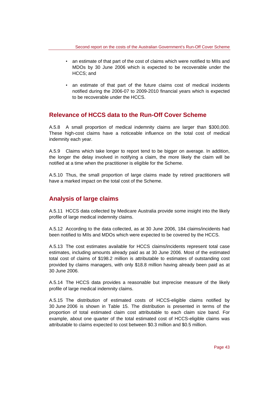- an estimate of that part of the cost of claims which were notified to MIIs and MDOs by 30 June 2006 which is expected to be recoverable under the HCCS; and
- an estimate of that part of the future claims cost of medical incidents notified during the 2006-07 to 2009-2010 financial years which is expected to be recoverable under the HCCS.

## **Relevance of HCCS data to the Run-Off Cover Scheme**

A.5.8 A small proportion of medical indemnity claims are larger than \$300,000. These high-cost claims have a noticeable influence on the total cost of medical indemnity each year.

A.5.9 Claims which take longer to report tend to be bigger on average. In addition, the longer the delay involved in notifying a claim, the more likely the claim will be notified at a time when the practitioner is eligible for the Scheme.

A.5.10 Thus, the small proportion of large claims made by retired practitioners will have a marked impact on the total cost of the Scheme.

## **Analysis of large claims**

A.5.11 HCCS data collected by Medicare Australia provide some insight into the likely profile of large medical indemnity claims.

A.5.12 According to the data collected, as at 30 June 2006, 184 claims/incidents had been notified to MIIs and MDOs which were expected to be covered by the HCCS.

A.5.13 The cost estimates available for HCCS claims/incidents represent total case estimates, including amounts already paid as at 30 June 2006. Most of the estimated total cost of claims of \$198.2 million is attributable to estimates of outstanding cost provided by claims managers, with only \$18.8 million having already been paid as at 30 June 2006.

A.5.14 The HCCS data provides a reasonable but imprecise measure of the likely profile of large medical indemnity claims.

A.5.15 The distribution of estimated costs of HCCS-eligible claims notified by 30 June 2006 is shown in Table 15. The distribution is presented in terms of the proportion of total estimated claim cost attributable to each claim size band. For example, about one quarter of the total estimated cost of HCCS-eligible claims was attributable to claims expected to cost between \$0.3 million and \$0.5 million.